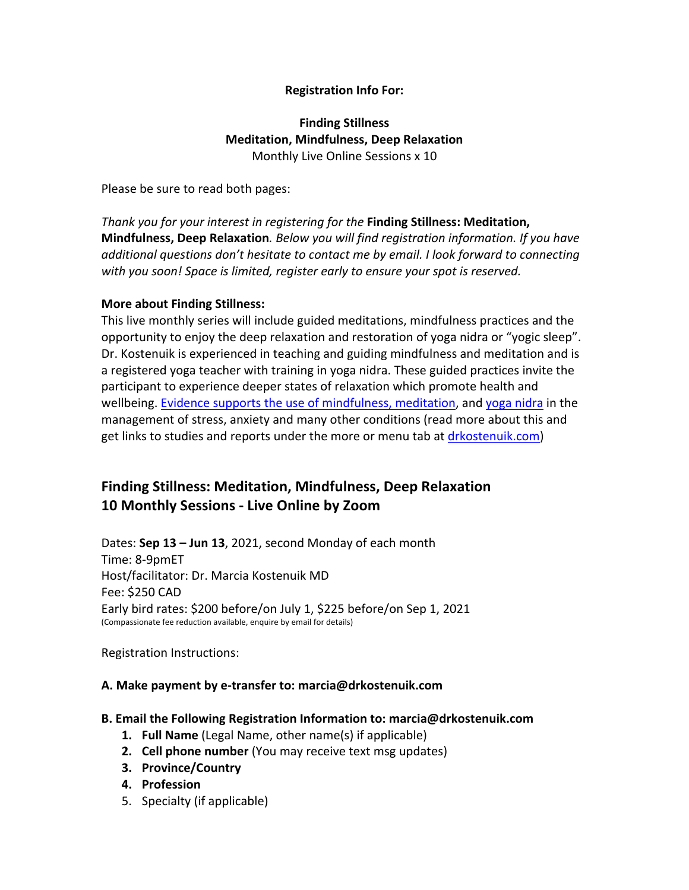# **Registration Info For:**

# **Finding Stillness Meditation, Mindfulness, Deep Relaxation** Monthly Live Online Sessions x 10

Please be sure to read both pages:

*Thank you for your interest in registering for the* **Finding Stillness: Meditation, Mindfulness, Deep Relaxation***. Below you will find registration information. If you have additional questions don't hesitate to contact me by email. I look forward to connecting with you soon! Space is limited, register early to ensure your spot is reserved.*

## **More about Finding Stillness:**

This live monthly series will include guided meditations, mindfulness practices and the opportunity to enjoy the deep relaxation and restoration of yoga nidra or "yogic sleep". Dr. Kostenuik is experienced in teaching and guiding mindfulness and meditation and is a registered yoga teacher with training in yoga nidra. These guided practices invite the participant to experience deeper states of relaxation which promote health and wellbeing. Evidence supports the use of mindfulness, meditation, and yoga nidra in the management of stress, anxiety and many other conditions (read more about this and get links to studies and reports under the more or menu tab at drkostenuik.com)

# **Finding Stillness: Meditation, Mindfulness, Deep Relaxation 10 Monthly Sessions - Live Online by Zoom**

Dates: **Sep 13 – Jun 13**, 2021, second Monday of each month Time: 8-9pmET Host/facilitator: Dr. Marcia Kostenuik MD Fee: \$250 CAD Early bird rates: \$200 before/on July 1, \$225 before/on Sep 1, 2021 (Compassionate fee reduction available, enquire by email for details)

Registration Instructions:

## **A. Make payment by e-transfer to: marcia@drkostenuik.com**

### **B. Email the Following Registration Information to: marcia@drkostenuik.com**

- **1. Full Name** (Legal Name, other name(s) if applicable)
- **2. Cell phone number** (You may receive text msg updates)
- **3. Province/Country**
- **4. Profession**
- 5. Specialty (if applicable)